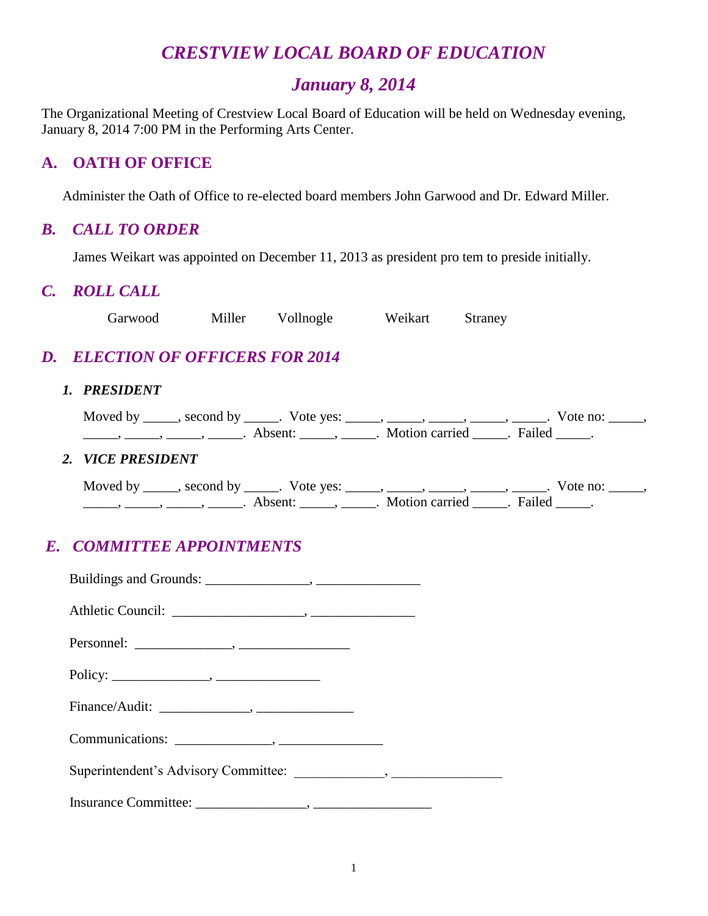# *CRESTVIEW LOCAL BOARD OF EDUCATION*

# *January 8, 2014*

The Organizational Meeting of Crestview Local Board of Education will be held on Wednesday evening, January 8, 2014 7:00 PM in the Performing Arts Center.

# **A. OATH OF OFFICE**

Administer the Oath of Office to re-elected board members John Garwood and Dr. Edward Miller.

### *B. CALL TO ORDER*

James Weikart was appointed on December 11, 2013 as president pro tem to preside initially.

### *C. ROLL CALL*

Garwood Miller Vollnogle Weikart Straney

# *D. ELECTION OF OFFICERS FOR 2014*

#### *1. PRESIDENT*

|  |  | Moved by _____, second by _____. Vote yes: _____, _____, _____, _____, ______ | . Vote no: |  |
|--|--|-------------------------------------------------------------------------------|------------|--|
|  |  | Absent: Motion carried . Failed                                               |            |  |
|  |  |                                                                               |            |  |

#### *2. VICE PRESIDENT*

Moved by \_\_\_\_\_, second by \_\_\_\_\_. Vote yes: \_\_\_\_\_, \_\_\_\_\_, \_\_\_\_\_, \_\_\_\_\_, \_\_\_\_\_. Vote no: \_\_\_\_\_, ———, ———, ———, ———. Absent: \_\_\_\_\_, \_\_\_\_\_. Motion carried \_\_\_\_\_. Failed \_\_\_\_\_.

# *E. COMMITTEE APPOINTMENTS*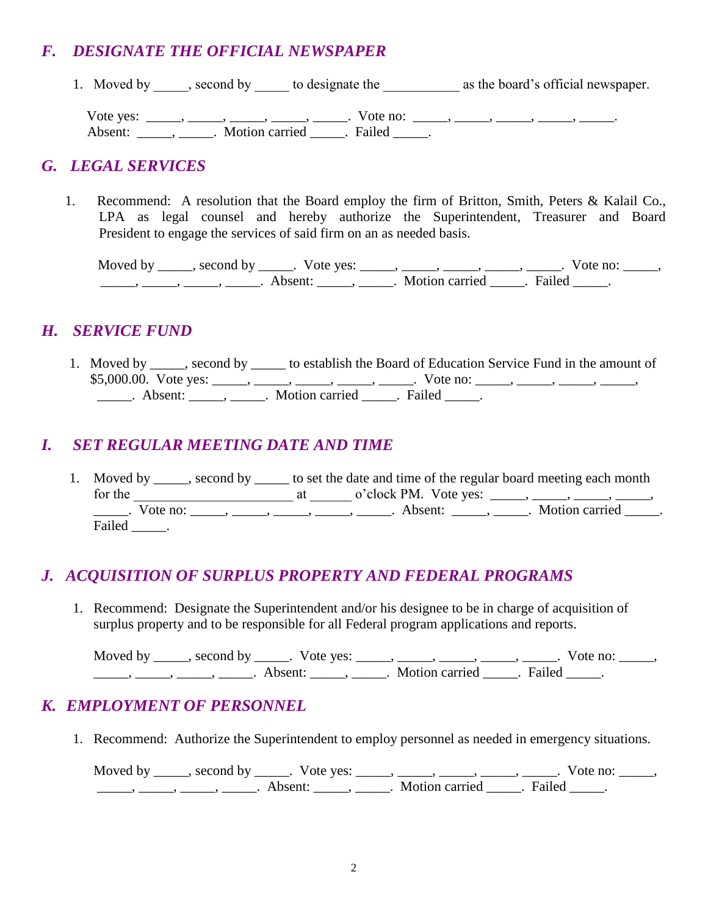# *F. DESIGNATE THE OFFICIAL NEWSPAPER*

1. Moved by second by to designate the as the board's official newspaper. Vote yes: \_\_\_\_\_, \_\_\_\_\_, \_\_\_\_\_, \_\_\_\_\_, Vote no: \_\_\_\_\_, \_\_\_\_\_, \_\_\_\_\_, \_\_\_\_\_, \_\_\_\_\_\_, Absent: \_\_\_\_\_\_, \_\_\_\_\_\_. Motion carried \_\_\_\_\_\_. Failed \_\_\_\_\_.

### *G. LEGAL SERVICES*

1. Recommend: A resolution that the Board employ the firm of Britton, Smith, Peters & Kalail Co., LPA as legal counsel and hereby authorize the Superintendent, Treasurer and Board President to engage the services of said firm on an as needed basis.

Moved by \_\_\_\_\_, second by \_\_\_\_\_. Vote yes: \_\_\_\_\_, \_\_\_\_\_, \_\_\_\_\_, \_\_\_\_\_, \_\_\_\_\_. Vote no: \_\_\_\_\_, \_\_\_\_\_, \_\_\_\_\_, \_\_\_\_\_, \_\_\_\_\_. Absent: \_\_\_\_\_, \_\_\_\_\_. Motion carried \_\_\_\_\_. Failed \_\_\_\_\_.

### *H. SERVICE FUND*

1. Moved by \_\_\_\_\_, second by \_\_\_\_\_ to establish the Board of Education Service Fund in the amount of  $$5,000.00.$  Vote yes: \_\_\_\_\_, \_\_\_\_\_, \_\_\_\_\_, \_\_\_\_\_, Vote no: \_\_\_\_\_, \_\_\_\_\_, \_\_\_\_\_, \_\_\_\_\_, Absent:  $\blacksquare$ ,  $\blacksquare$  Motion carried  $\blacksquare$ . Failed  $\blacksquare$ .

# *I. SET REGULAR MEETING DATE AND TIME*

1. Moved by second by to set the date and time of the regular board meeting each month for the  $\frac{1}{\sqrt{2}}$  at  $\frac{1}{\sqrt{2}}$  o'clock PM. Vote yes:  $\frac{1}{\sqrt{2}}$ ,  $\frac{1}{\sqrt{2}}$ ,  $\frac{1}{\sqrt{2}}$ ,  $\frac{1}{\sqrt{2}}$ Uote no: \_\_\_\_\_, \_\_\_\_\_, \_\_\_\_\_, \_\_\_\_\_, \_\_\_\_\_\_, Absent: \_\_\_\_\_, \_\_\_\_\_. Motion carried \_\_\_\_\_. Failed \_\_\_\_\_\_.

# *J. ACQUISITION OF SURPLUS PROPERTY AND FEDERAL PROGRAMS*

1. Recommend: Designate the Superintendent and/or his designee to be in charge of acquisition of surplus property and to be responsible for all Federal program applications and reports.

Moved by \_\_\_\_\_, second by \_\_\_\_\_. Vote yes: \_\_\_\_\_, \_\_\_\_\_, \_\_\_\_\_, \_\_\_\_\_, \_\_\_\_\_. Vote no: \_\_\_\_\_, \_\_\_\_\_, \_\_\_\_\_, \_\_\_\_\_, \_\_\_\_\_. Absent: \_\_\_\_\_, \_\_\_\_\_. Motion carried \_\_\_\_\_. Failed \_\_\_\_\_.

# *K. EMPLOYMENT OF PERSONNEL*

1. Recommend: Authorize the Superintendent to employ personnel as needed in emergency situations.

Moved by \_\_\_\_\_, second by \_\_\_\_\_. Vote yes: \_\_\_\_\_, \_\_\_\_\_, \_\_\_\_\_, \_\_\_\_\_, \_\_\_\_\_. Vote no: \_\_\_\_\_, \_\_\_\_\_, \_\_\_\_\_, \_\_\_\_\_, \_\_\_\_\_. Absent: \_\_\_\_\_, \_\_\_\_\_. Motion carried \_\_\_\_\_. Failed \_\_\_\_\_.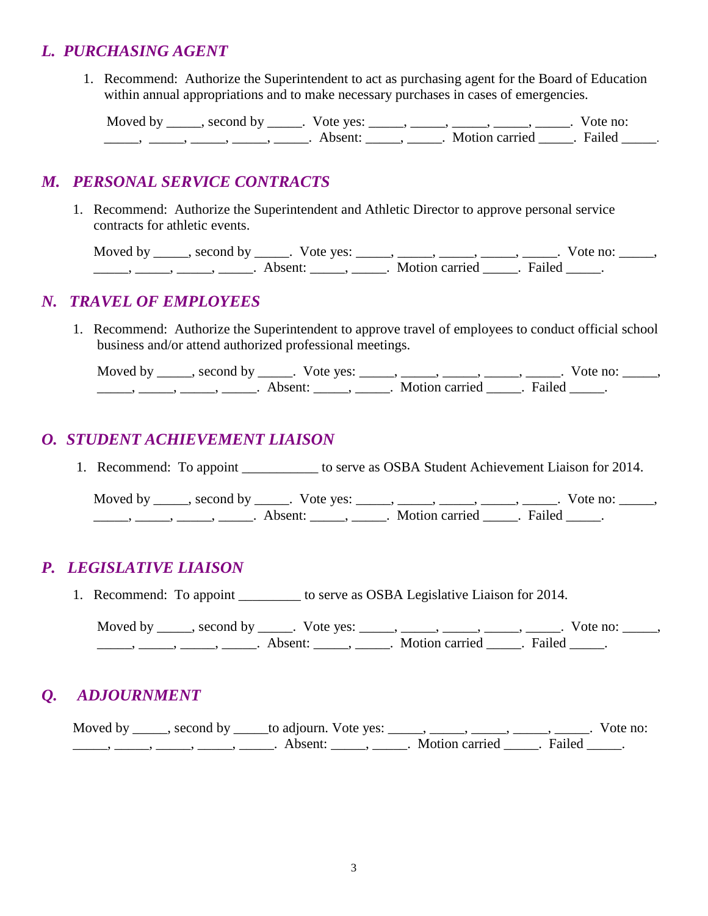### *L. PURCHASING AGENT*

1. Recommend: Authorize the Superintendent to act as purchasing agent for the Board of Education within annual appropriations and to make necessary purchases in cases of emergencies.

Moved by \_\_\_\_\_, second by \_\_\_\_\_. Vote yes: \_\_\_\_\_, \_\_\_\_\_, \_\_\_\_\_, \_\_\_\_\_, \_\_\_\_\_. Vote no: \_\_\_\_\_, \_\_\_\_\_, \_\_\_\_\_, \_\_\_\_\_, \_\_\_\_\_. Absent: \_\_\_\_\_, \_\_\_\_\_. Motion carried \_\_\_\_\_. Failed \_\_\_\_\_.

### *M. PERSONAL SERVICE CONTRACTS*

1. Recommend: Authorize the Superintendent and Athletic Director to approve personal service contracts for athletic events.

Moved by \_\_\_\_\_, second by \_\_\_\_\_. Vote yes: \_\_\_\_\_, \_\_\_\_\_, \_\_\_\_\_, \_\_\_\_\_, \_\_\_\_\_. Vote no: \_\_\_\_\_, \_\_\_\_\_, \_\_\_\_\_, \_\_\_\_\_, \_\_\_\_\_. Absent: \_\_\_\_\_, \_\_\_\_\_. Motion carried \_\_\_\_\_. Failed \_\_\_\_\_.

### *N. TRAVEL OF EMPLOYEES*

 1. Recommend: Authorize the Superintendent to approve travel of employees to conduct official school business and/or attend authorized professional meetings.

Moved by \_\_\_\_\_, second by \_\_\_\_\_. Vote yes: \_\_\_\_\_, \_\_\_\_\_, \_\_\_\_\_, \_\_\_\_\_, \_\_\_\_\_. Vote no: \_\_\_\_\_, \_\_\_\_\_, \_\_\_\_\_, \_\_\_\_\_, \_\_\_\_\_. Absent: \_\_\_\_\_, \_\_\_\_\_. Motion carried \_\_\_\_\_. Failed \_\_\_\_\_.

# *O. STUDENT ACHIEVEMENT LIAISON*

1. Recommend: To appoint \_\_\_\_\_\_\_\_\_\_\_ to serve as OSBA Student Achievement Liaison for 2014.

Moved by \_\_\_\_\_, second by \_\_\_\_\_. Vote yes: \_\_\_\_\_, \_\_\_\_\_, \_\_\_\_\_, \_\_\_\_\_, \_\_\_\_\_. Vote no: \_\_\_\_\_, \_\_\_\_\_\_, \_\_\_\_\_, \_\_\_\_\_, \_\_\_\_\_\_. Absent: \_\_\_\_\_\_, \_\_\_\_\_\_. Motion carried \_\_\_\_\_\_. Failed \_\_\_\_\_.

# *P. LEGISLATIVE LIAISON*

1. Recommend: To appoint \_\_\_\_\_\_\_\_\_ to serve as OSBA Legislative Liaison for 2014.

Moved by \_\_\_\_\_, second by \_\_\_\_\_. Vote yes: \_\_\_\_\_, \_\_\_\_\_, \_\_\_\_\_, \_\_\_\_\_, \_\_\_\_\_. Vote no: \_\_\_\_\_, \_\_\_\_\_, \_\_\_\_\_, \_\_\_\_\_, \_\_\_\_\_. Absent: \_\_\_\_\_, \_\_\_\_\_. Motion carried \_\_\_\_\_. Failed \_\_\_\_\_.

# *Q. ADJOURNMENT*

Moved by \_\_\_\_\_, second by \_\_\_\_\_to adjourn. Vote yes: \_\_\_\_\_, \_\_\_\_\_, \_\_\_\_\_, \_\_\_\_\_, \_\_\_\_\_. Vote no: ——, ——, ——, ——, ——, Absent: \_\_\_\_, \_\_\_\_\_, Motion carried \_\_\_\_. Failed \_\_\_\_.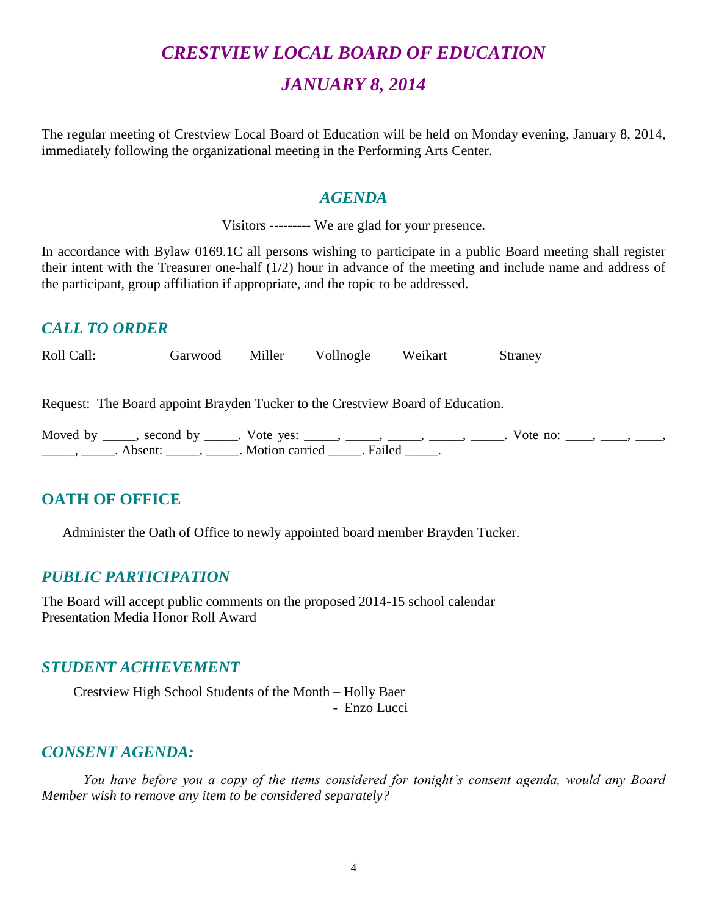# *CRESTVIEW LOCAL BOARD OF EDUCATION*

# *JANUARY 8, 2014*

The regular meeting of Crestview Local Board of Education will be held on Monday evening, January 8, 2014, immediately following the organizational meeting in the Performing Arts Center.

### *AGENDA*

Visitors --------- We are glad for your presence.

In accordance with Bylaw 0169.1C all persons wishing to participate in a public Board meeting shall register their intent with the Treasurer one-half (1/2) hour in advance of the meeting and include name and address of the participant, group affiliation if appropriate, and the topic to be addressed.

# *CALL TO ORDER*

Roll Call: Garwood Miller Vollnogle Weikart Straney

Request: The Board appoint Brayden Tucker to the Crestview Board of Education.

Moved by \_\_\_\_, second by \_\_\_\_\_. Vote yes: \_\_\_\_\_, \_\_\_\_\_, \_\_\_\_\_, \_\_\_\_, \_\_\_\_\_, Vote no: \_\_\_\_, \_\_\_\_, \_\_\_\_, \_\_\_\_\_\_\_, \_\_\_\_\_\_. Absent: \_\_\_\_\_\_, \_\_\_\_\_\_. Motion carried \_\_\_\_\_\_. Failed \_\_\_\_\_.

# **OATH OF OFFICE**

Administer the Oath of Office to newly appointed board member Brayden Tucker.

### *PUBLIC PARTICIPATION*

The Board will accept public comments on the proposed 2014-15 school calendar Presentation Media Honor Roll Award

### *STUDENT ACHIEVEMENT*

Crestview High School Students of the Month – Holly Baer - Enzo Lucci

### *CONSENT AGENDA:*

*You have before you a copy of the items considered for tonight's consent agenda, would any Board Member wish to remove any item to be considered separately?*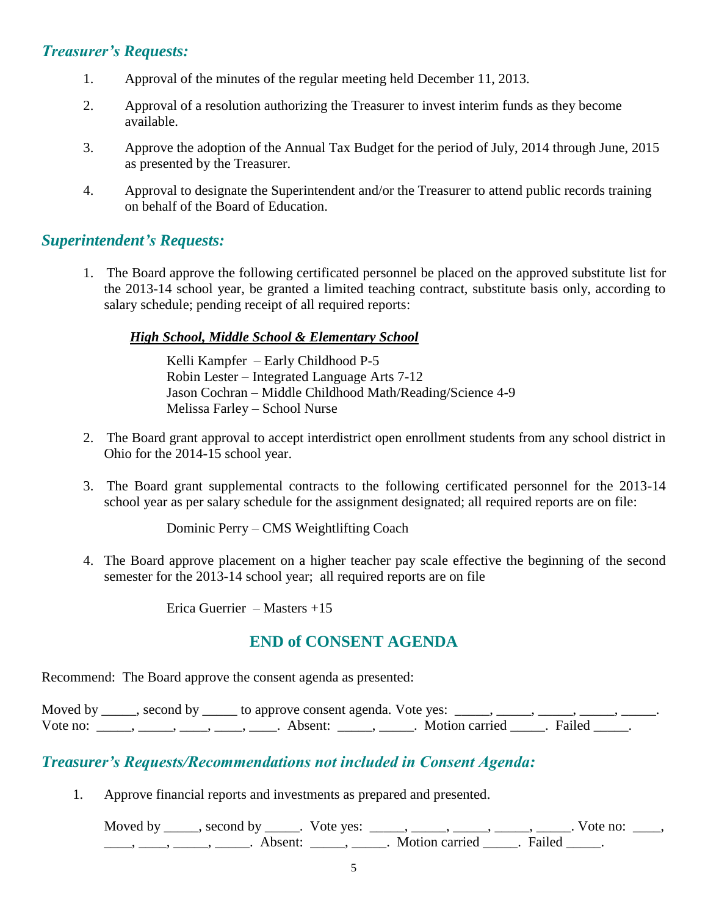### *Treasurer's Requests:*

- 1. Approval of the minutes of the regular meeting held December 11, 2013.
- 2. Approval of a resolution authorizing the Treasurer to invest interim funds as they become available.
- 3. Approve the adoption of the Annual Tax Budget for the period of July, 2014 through June, 2015 as presented by the Treasurer.
- 4. Approval to designate the Superintendent and/or the Treasurer to attend public records training on behalf of the Board of Education.

### *Superintendent's Requests:*

1. The Board approve the following certificated personnel be placed on the approved substitute list for the 2013-14 school year, be granted a limited teaching contract, substitute basis only, according to salary schedule; pending receipt of all required reports:

### *High School, Middle School & Elementary School*

Kelli Kampfer – Early Childhood P-5 Robin Lester – Integrated Language Arts 7-12 Jason Cochran – Middle Childhood Math/Reading/Science 4-9 Melissa Farley – School Nurse

- 2. The Board grant approval to accept interdistrict open enrollment students from any school district in Ohio for the 2014-15 school year.
- 3. The Board grant supplemental contracts to the following certificated personnel for the 2013-14 school year as per salary schedule for the assignment designated; all required reports are on file:

Dominic Perry – CMS Weightlifting Coach

4. The Board approve placement on a higher teacher pay scale effective the beginning of the second semester for the 2013-14 school year; all required reports are on file

Erica Guerrier – Masters +15

# **END of CONSENT AGENDA**

Recommend: The Board approve the consent agenda as presented:

Moved by \_\_\_\_, second by \_\_\_\_\_ to approve consent agenda. Vote yes: \_\_\_\_, \_\_\_\_, \_\_\_\_, Vote no: \_\_\_\_, \_\_\_\_, \_\_\_, \_\_\_\_, \_\_\_\_, Absent: \_\_\_\_, \_\_\_\_, \_\_\_\_. Motion carried \_\_\_\_\_. Failed \_\_\_\_.

### *Treasurer's Requests/Recommendations not included in Consent Agenda:*

1. Approve financial reports and investments as prepared and presented.

Moved by \_\_\_\_\_, second by \_\_\_\_\_. Vote yes:  $\frac{1}{\sqrt{2}}$ , \_\_\_\_, \_\_\_\_, \_\_\_\_, \_\_\_\_, \_\_\_\_. Vote no: \_\_\_\_,  $\underline{\phantom{a}}$ ,  $\underline{\phantom{a}}$ ,  $\underline{\phantom{a}}$ ,  $\underline{\phantom{a}}$ ,  $\underline{\phantom{a}}$ ,  $\underline{\phantom{a}}$ ,  $\underline{\phantom{a}}$ ,  $\underline{\phantom{a}}$ ,  $\underline{\phantom{a}}$ ,  $\underline{\phantom{a}}$ ,  $\underline{\phantom{a}}$ ,  $\underline{\phantom{a}}$ ,  $\underline{\phantom{a}}$ ,  $\underline{\phantom{a}}$ ,  $\underline{\phantom{a}}$ ,  $\underline{\phantom{a}}$ ,  $\underline{\phantom{a}}$ ,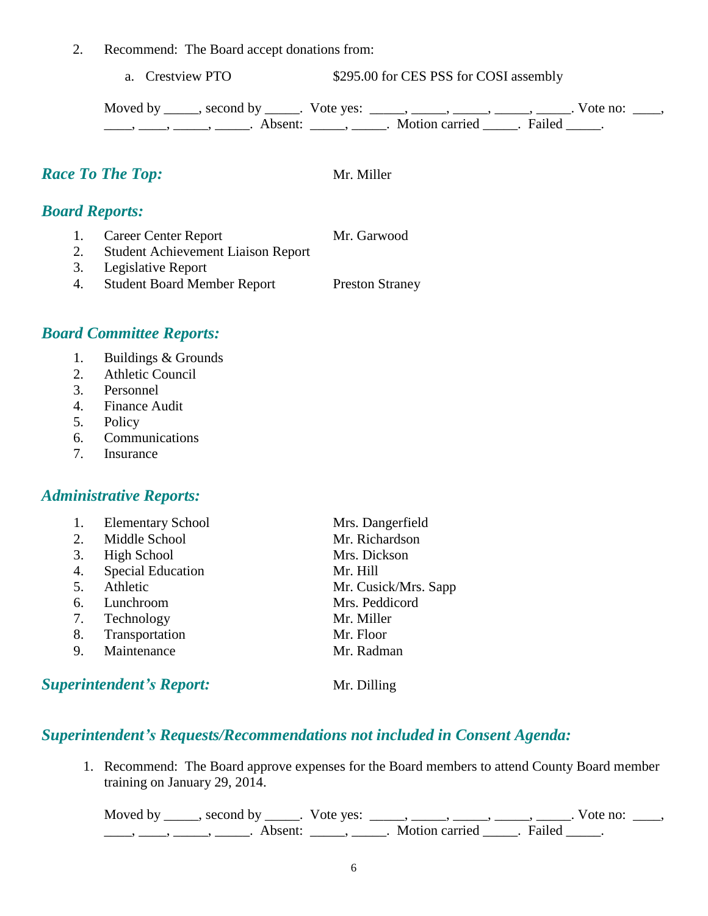2. Recommend: The Board accept donations from:

a. Crestview PTO  $$295.00$  for CES PSS for COSI assembly

Moved by \_\_\_\_\_, second by \_\_\_\_\_. Vote yes: \_\_\_\_\_, \_\_\_\_\_, \_\_\_\_\_, \_\_\_\_\_, \_\_\_\_\_. Vote no: \_\_\_\_, \_\_\_\_, \_\_\_\_\_, \_\_\_\_\_\_, Absent: \_\_\_\_\_, \_\_\_\_\_. Motion carried \_\_\_\_\_. Failed \_\_\_\_\_.

*Race To The Top:* Mr. Miller

*Board Reports:*

|    | 1. Career Center Report                   | Mr. Garwood            |
|----|-------------------------------------------|------------------------|
| 2. | <b>Student Achievement Liaison Report</b> |                        |
|    | 3. Legislative Report                     |                        |
|    | 4. Student Board Member Report            | <b>Preston Straney</b> |
|    |                                           |                        |

# *Board Committee Reports:*

- 1. Buildings & Grounds
- 2. Athletic Council
- 3. Personnel
- 4. Finance Audit
- 5. Policy
- 6. Communications
- 7. Insurance

### *Administrative Reports:*

1. Elementary School Mrs. Dangerfield 2. Middle School Mr. Richardson 3. High School Mrs. Dickson 4. Special Education Mr. Hill 5. Athletic Mr. Cusick/Mrs. Sapp 6. Lunchroom Mrs. Peddicord 7. Technology Mr. Miller 8. Transportation Mr. Floor 9. Maintenance Mr. Radman **Superintendent's Report:** Mr. Dilling

### *Superintendent's Requests/Recommendations not included in Consent Agenda:*

1. Recommend: The Board approve expenses for the Board members to attend County Board member training on January 29, 2014.

Moved by \_\_\_\_\_, second by \_\_\_\_\_. Vote yes:  $\_\_\_\_\_\_\_\_\_\_\_\_\_\_\_$  \_\_\_\_\_, \_\_\_\_\_, \_\_\_\_\_. Vote no:  $\_\_\_\_\_\_\$ \_\_\_\_\_, \_\_\_\_\_\_, \_\_\_\_\_\_\_. Absent: \_\_\_\_\_\_, \_\_\_\_\_\_. Motion carried \_\_\_\_\_\_. Failed \_\_\_\_\_.